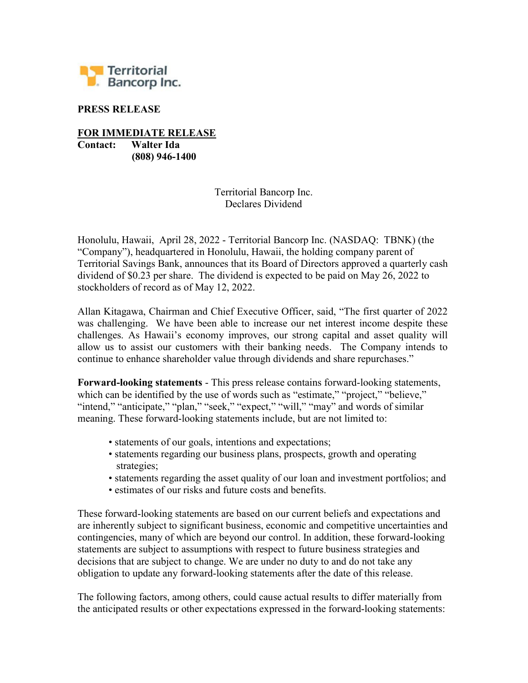

## PRESS RELEASE

FOR IMMEDIATE RELEASE Contact: Walter Ida (808) 946-1400

> Territorial Bancorp Inc. Declares Dividend

Honolulu, Hawaii, April 28, 2022 - Territorial Bancorp Inc. (NASDAQ: TBNK) (the "Company"), headquartered in Honolulu, Hawaii, the holding company parent of Territorial Savings Bank, announces that its Board of Directors approved a quarterly cash dividend of \$0.23 per share. The dividend is expected to be paid on May 26, 2022 to stockholders of record as of May 12, 2022.

Allan Kitagawa, Chairman and Chief Executive Officer, said, "The first quarter of 2022 was challenging. We have been able to increase our net interest income despite these challenges. As Hawaii's economy improves, our strong capital and asset quality will allow us to assist our customers with their banking needs. The Company intends to continue to enhance shareholder value through dividends and share repurchases."

Forward-looking statements - This press release contains forward-looking statements, which can be identified by the use of words such as "estimate," "project," "believe," "intend," "anticipate," "plan," "seek," "expect," "will," "may" and words of similar meaning. These forward-looking statements include, but are not limited to:

- statements of our goals, intentions and expectations;
- statements regarding our business plans, prospects, growth and operating strategies;
- statements regarding the asset quality of our loan and investment portfolios; and
- estimates of our risks and future costs and benefits.

These forward-looking statements are based on our current beliefs and expectations and are inherently subject to significant business, economic and competitive uncertainties and contingencies, many of which are beyond our control. In addition, these forward-looking statements are subject to assumptions with respect to future business strategies and decisions that are subject to change. We are under no duty to and do not take any obligation to update any forward-looking statements after the date of this release.

The following factors, among others, could cause actual results to differ materially from the anticipated results or other expectations expressed in the forward-looking statements: